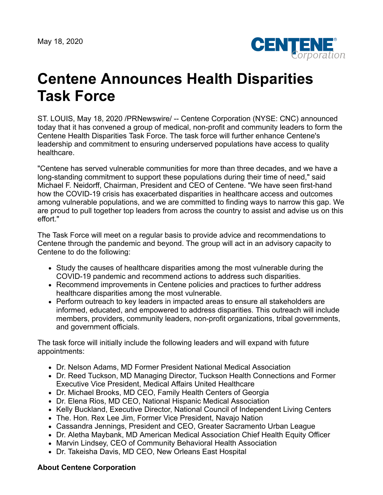May 18, 2020



## **Centene Announces Health Disparities Task Force**

ST. LOUIS, May 18, 2020 /PRNewswire/ -- Centene Corporation (NYSE: CNC) announced today that it has convened a group of medical, non-profit and community leaders to form the Centene Health Disparities Task Force. The task force will further enhance Centene's leadership and commitment to ensuring underserved populations have access to quality healthcare.

"Centene has served vulnerable communities for more than three decades, and we have a long-standing commitment to support these populations during their time of need," said Michael F. Neidorff, Chairman, President and CEO of Centene. "We have seen first-hand how the COVID-19 crisis has exacerbated disparities in healthcare access and outcomes among vulnerable populations, and we are committed to finding ways to narrow this gap. We are proud to pull together top leaders from across the country to assist and advise us on this effort."

The Task Force will meet on a regular basis to provide advice and recommendations to Centene through the pandemic and beyond. The group will act in an advisory capacity to Centene to do the following:

- Study the causes of healthcare disparities among the most vulnerable during the COVID-19 pandemic and recommend actions to address such disparities.
- Recommend improvements in Centene policies and practices to further address healthcare disparities among the most vulnerable.
- Perform outreach to key leaders in impacted areas to ensure all stakeholders are informed, educated, and empowered to address disparities. This outreach will include members, providers, community leaders, non-profit organizations, tribal governments, and government officials.

The task force will initially include the following leaders and will expand with future appointments:

- Dr. Nelson Adams, MD Former President National Medical Association
- Dr. Reed Tuckson, MD Managing Director, Tuckson Health Connections and Former Executive Vice President, Medical Affairs United Healthcare
- Dr. Michael Brooks, MD CEO, Family Health Centers of Georgia
- Dr. Elena Rios, MD CEO, National Hispanic Medical Association
- Kelly Buckland, Executive Director, National Council of Independent Living Centers
- The. Hon. Rex Lee Jim, Former Vice President, Navajo Nation
- Cassandra Jennings, President and CEO, Greater Sacramento Urban League
- Dr. Aletha Maybank, MD American Medical Association Chief Health Equity Officer
- Marvin Lindsey, CEO of Community Behavioral Health Association
- Dr. Takeisha Davis, MD CEO, New Orleans East Hospital

## **About Centene Corporation**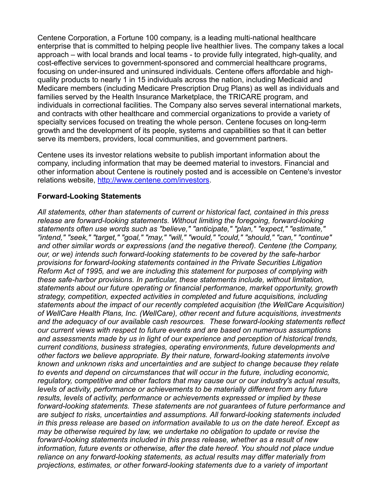Centene Corporation, a Fortune 100 company, is a leading multi-national healthcare enterprise that is committed to helping people live healthier lives. The company takes a local approach – with local brands and local teams - to provide fully integrated, high-quality, and cost-effective services to government-sponsored and commercial healthcare programs, focusing on under-insured and uninsured individuals. Centene offers affordable and highquality products to nearly 1 in 15 individuals across the nation, including Medicaid and Medicare members (including Medicare Prescription Drug Plans) as well as individuals and families served by the Health Insurance Marketplace, the TRICARE program, and individuals in correctional facilities. The Company also serves several international markets, and contracts with other healthcare and commercial organizations to provide a variety of specialty services focused on treating the whole person. Centene focuses on long-term growth and the development of its people, systems and capabilities so that it can better serve its members, providers, local communities, and government partners.

Centene uses its investor relations website to publish important information about the company, including information that may be deemed material to investors. Financial and other information about Centene is routinely posted and is accessible on Centene's investor relations website, <http://www.centene.com/investors>.

## **Forward-Looking Statements**

*All statements, other than statements of current or historical fact, contained in this press release are forward-looking statements. Without limiting the foregoing, forward-looking statements often use words such as "believe," "anticipate," "plan," "expect," "estimate," "intend," "seek," "target," "goal," "may," "will," "would," "could," "should," "can," "continue" and other similar words or expressions (and the negative thereof). Centene (the Company, our, or we) intends such forward-looking statements to be covered by the safe-harbor provisions for forward-looking statements contained in the Private Securities Litigation Reform Act of 1995, and we are including this statement for purposes of complying with these safe-harbor provisions. In particular, these statements include, without limitation, statements about our future operating or financial performance, market opportunity, growth strategy, competition, expected activities in completed and future acquisitions, including statements about the impact of our recently completed acquisition (the WellCare Acquisition) of WellCare Health Plans, Inc. (WellCare), other recent and future acquisitions, investments and the adequacy of our available cash resources. These forward-looking statements reflect our current views with respect to future events and are based on numerous assumptions and assessments made by us in light of our experience and perception of historical trends, current conditions, business strategies, operating environments, future developments and other factors we believe appropriate. By their nature, forward-looking statements involve known and unknown risks and uncertainties and are subject to change because they relate to events and depend on circumstances that will occur in the future, including economic, regulatory, competitive and other factors that may cause our or our industry's actual results, levels of activity, performance or achievements to be materially different from any future results, levels of activity, performance or achievements expressed or implied by these forward-looking statements. These statements are not guarantees of future performance and are subject to risks, uncertainties and assumptions. All forward-looking statements included in this press release are based on information available to us on the date hereof. Except as may be otherwise required by law, we undertake no obligation to update or revise the forward-looking statements included in this press release, whether as a result of new information, future events or otherwise, after the date hereof. You should not place undue reliance on any forward-looking statements, as actual results may differ materially from projections, estimates, or other forward-looking statements due to a variety of important*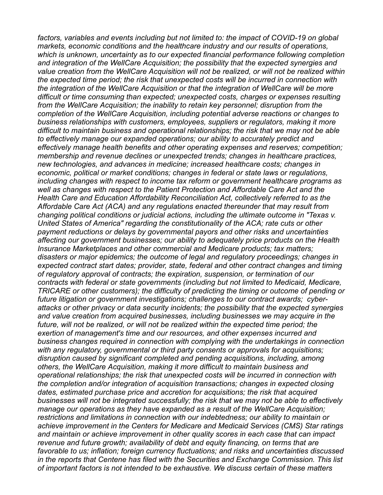*factors, variables and events including but not limited to: the impact of COVID-19 on global markets, economic conditions and the healthcare industry and our results of operations, which is unknown, uncertainty as to our expected financial performance following completion and integration of the WellCare Acquisition; the possibility that the expected synergies and value creation from the WellCare Acquisition will not be realized, or will not be realized within the expected time period; the risk that unexpected costs will be incurred in connection with the integration of the WellCare Acquisition or that the integration of WellCare will be more difficult or time consuming than expected; unexpected costs, charges or expenses resulting from the WellCare Acquisition; the inability to retain key personnel; disruption from the completion of the WellCare Acquisition, including potential adverse reactions or changes to business relationships with customers, employees, suppliers or regulators, making it more difficult to maintain business and operational relationships; the risk that we may not be able to effectively manage our expanded operations; our ability to accurately predict and effectively manage health benefits and other operating expenses and reserves; competition; membership and revenue declines or unexpected trends; changes in healthcare practices, new technologies, and advances in medicine; increased healthcare costs; changes in economic, political or market conditions; changes in federal or state laws or regulations, including changes with respect to income tax reform or government healthcare programs as well as changes with respect to the Patient Protection and Affordable Care Act and the Health Care and Education Affordability Reconciliation Act, collectively referred to as the Affordable Care Act (ACA) and any regulations enacted thereunder that may result from changing political conditions or judicial actions, including the ultimate outcome in "Texas v. United States of America" regarding the constitutionality of the ACA; rate cuts or other payment reductions or delays by governmental payors and other risks and uncertainties affecting our government businesses; our ability to adequately price products on the Health Insurance Marketplaces and other commercial and Medicare products; tax matters; disasters or major epidemics; the outcome of legal and regulatory proceedings; changes in expected contract start dates; provider, state, federal and other contract changes and timing of regulatory approval of contracts; the expiration, suspension, or termination of our contracts with federal or state governments (including but not limited to Medicaid, Medicare, TRICARE or other customers); the difficulty of predicting the timing or outcome of pending or future litigation or government investigations; challenges to our contract awards; cyberattacks or other privacy or data security incidents; the possibility that the expected synergies and value creation from acquired businesses, including businesses we may acquire in the future, will not be realized, or will not be realized within the expected time period; the exertion of management's time and our resources, and other expenses incurred and business changes required in connection with complying with the undertakings in connection with any regulatory, governmental or third party consents or approvals for acquisitions; disruption caused by significant completed and pending acquisitions, including, among others, the WellCare Acquisition, making it more difficult to maintain business and operational relationships; the risk that unexpected costs will be incurred in connection with the completion and/or integration of acquisition transactions; changes in expected closing dates, estimated purchase price and accretion for acquisitions; the risk that acquired businesses will not be integrated successfully; the risk that we may not be able to effectively manage our operations as they have expanded as a result of the WellCare Acquisition; restrictions and limitations in connection with our indebtedness; our ability to maintain or achieve improvement in the Centers for Medicare and Medicaid Services (CMS) Star ratings and maintain or achieve improvement in other quality scores in each case that can impact revenue and future growth; availability of debt and equity financing, on terms that are favorable to us; inflation; foreign currency fluctuations; and risks and uncertainties discussed in the reports that Centene has filed with the Securities and Exchange Commission. This list of important factors is not intended to be exhaustive. We discuss certain of these matters*